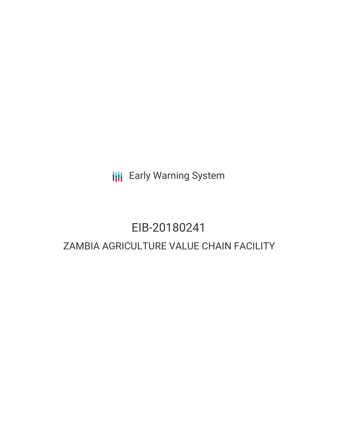**III** Early Warning System

# EIB-20180241 ZAMBIA AGRICULTURE VALUE CHAIN FACILITY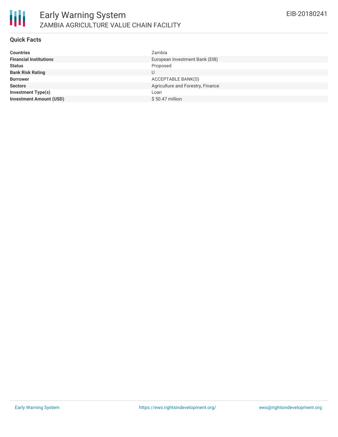

### **Quick Facts**

| <b>Countries</b>               | Zambia                            |
|--------------------------------|-----------------------------------|
| <b>Financial Institutions</b>  | European Investment Bank (EIB)    |
| <b>Status</b>                  | Proposed                          |
| <b>Bank Risk Rating</b>        | U                                 |
| <b>Borrower</b>                | ACCEPTABLE BANK(S)                |
| <b>Sectors</b>                 | Agriculture and Forestry, Finance |
| <b>Investment Type(s)</b>      | Loan                              |
| <b>Investment Amount (USD)</b> | $$50.47$ million                  |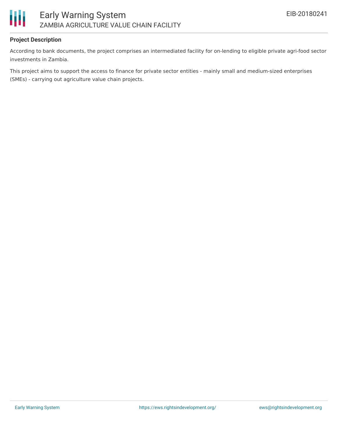

# **Project Description**

According to bank documents, the project comprises an intermediated facility for on-lending to eligible private agri-food sector investments in Zambia.

This project aims to support the access to finance for private sector entities - mainly small and medium-sized enterprises (SMEs) - carrying out agriculture value chain projects.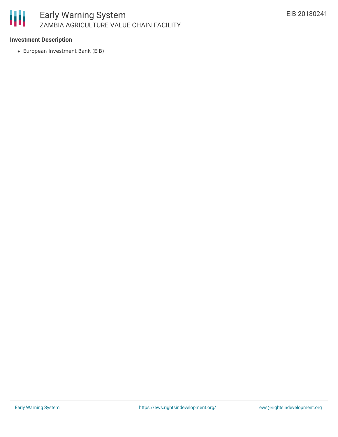

## **Investment Description**

European Investment Bank (EIB)